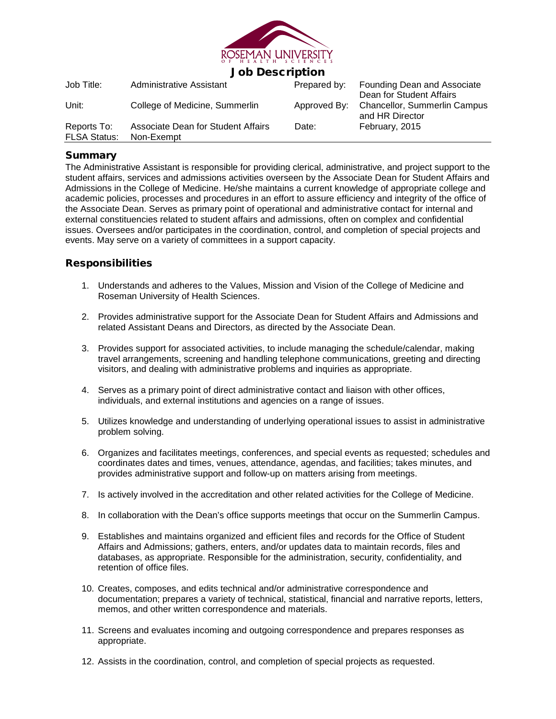

# Job Description

| Job Title:                         | Administrative Assistant                         | Prepared by: | Founding Dean and Associate<br>Dean for Student Affairs<br>Approved By: Chancellor, Summerlin Campus<br>and HR Director |
|------------------------------------|--------------------------------------------------|--------------|-------------------------------------------------------------------------------------------------------------------------|
| Unit:                              | College of Medicine, Summerlin                   |              |                                                                                                                         |
| Reports To:<br><b>FLSA Status:</b> | Associate Dean for Student Affairs<br>Non-Exempt | Date:        | February, 2015                                                                                                          |

## **Summary**

The Administrative Assistant is responsible for providing clerical, administrative, and project support to the student affairs, services and admissions activities overseen by the Associate Dean for Student Affairs and Admissions in the College of Medicine. He/she maintains a current knowledge of appropriate college and academic policies, processes and procedures in an effort to assure efficiency and integrity of the office of the Associate Dean. Serves as primary point of operational and administrative contact for internal and external constituencies related to student affairs and admissions, often on complex and confidential issues. Oversees and/or participates in the coordination, control, and completion of special projects and events. May serve on a variety of committees in a support capacity.

# Responsibilities

- 1. Understands and adheres to the Values, Mission and Vision of the College of Medicine and Roseman University of Health Sciences.
- 2. Provides administrative support for the Associate Dean for Student Affairs and Admissions and related Assistant Deans and Directors, as directed by the Associate Dean.
- 3. Provides support for associated activities, to include managing the schedule/calendar, making travel arrangements, screening and handling telephone communications, greeting and directing visitors, and dealing with administrative problems and inquiries as appropriate.
- 4. Serves as a primary point of direct administrative contact and liaison with other offices, individuals, and external institutions and agencies on a range of issues.
- 5. Utilizes knowledge and understanding of underlying operational issues to assist in administrative problem solving.
- 6. Organizes and facilitates meetings, conferences, and special events as requested; schedules and coordinates dates and times, venues, attendance, agendas, and facilities; takes minutes, and provides administrative support and follow-up on matters arising from meetings.
- 7. Is actively involved in the accreditation and other related activities for the College of Medicine.
- 8. In collaboration with the Dean's office supports meetings that occur on the Summerlin Campus.
- 9. Establishes and maintains organized and efficient files and records for the Office of Student Affairs and Admissions; gathers, enters, and/or updates data to maintain records, files and databases, as appropriate. Responsible for the administration, security, confidentiality, and retention of office files.
- 10. Creates, composes, and edits technical and/or administrative correspondence and documentation; prepares a variety of technical, statistical, financial and narrative reports, letters, memos, and other written correspondence and materials.
- 11. Screens and evaluates incoming and outgoing correspondence and prepares responses as appropriate.
- 12. Assists in the coordination, control, and completion of special projects as requested.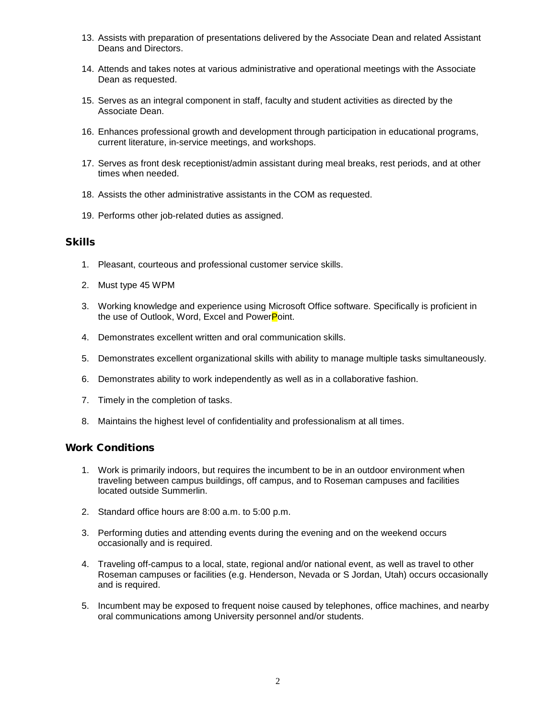- 13. Assists with preparation of presentations delivered by the Associate Dean and related Assistant Deans and Directors.
- 14. Attends and takes notes at various administrative and operational meetings with the Associate Dean as requested.
- 15. Serves as an integral component in staff, faculty and student activities as directed by the Associate Dean.
- 16. Enhances professional growth and development through participation in educational programs, current literature, in-service meetings, and workshops.
- 17. Serves as front desk receptionist/admin assistant during meal breaks, rest periods, and at other times when needed.
- 18. Assists the other administrative assistants in the COM as requested.
- 19. Performs other job-related duties as assigned.

#### **Skills**

- 1. Pleasant, courteous and professional customer service skills.
- 2. Must type 45 WPM
- 3. Working knowledge and experience using Microsoft Office software. Specifically is proficient in the use of Outlook, Word, Excel and PowerPoint.
- 4. Demonstrates excellent written and oral communication skills.
- 5. Demonstrates excellent organizational skills with ability to manage multiple tasks simultaneously.
- 6. Demonstrates ability to work independently as well as in a collaborative fashion.
- 7. Timely in the completion of tasks.
- 8. Maintains the highest level of confidentiality and professionalism at all times.

### Work Conditions

- 1. Work is primarily indoors, but requires the incumbent to be in an outdoor environment when traveling between campus buildings, off campus, and to Roseman campuses and facilities located outside Summerlin.
- 2. Standard office hours are 8:00 a.m. to 5:00 p.m.
- 3. Performing duties and attending events during the evening and on the weekend occurs occasionally and is required.
- 4. Traveling off-campus to a local, state, regional and/or national event, as well as travel to other Roseman campuses or facilities (e.g. Henderson, Nevada or S Jordan, Utah) occurs occasionally and is required.
- 5. Incumbent may be exposed to frequent noise caused by telephones, office machines, and nearby oral communications among University personnel and/or students.